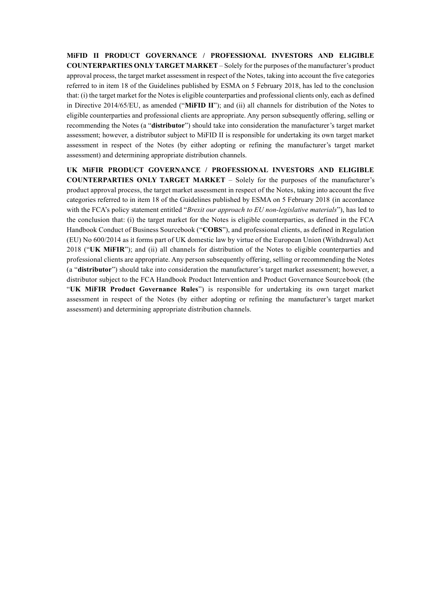**MiFID II PRODUCT GOVERNANCE / PROFESSIONAL INVESTORS AND ELIGIBLE COUNTERPARTIES ONLY TARGET MARKET** – Solely for the purposes of the manufacturer's product approval process, the target market assessment in respect of the Notes, taking into account the five categories referred to in item 18 of the Guidelines published by ESMA on 5 February 2018, has led to the conclusion that: (i) the target market for the Notes is eligible counterparties and professional clients only, each as defined in Directive 2014/65/EU, as amended ("**MiFID II**"); and (ii) all channels for distribution of the Notes to eligible counterparties and professional clients are appropriate. Any person subsequently offering, selling or recommending the Notes (a "**distributor**") should take into consideration the manufacturer's target market assessment; however, a distributor subject to MiFID II is responsible for undertaking its own target market assessment in respect of the Notes (by either adopting or refining the manufacturer's target market assessment) and determining appropriate distribution channels.

**UK MiFIR PRODUCT GOVERNANCE / PROFESSIONAL INVESTORS AND ELIGIBLE COUNTERPARTIES ONLY TARGET MARKET** – Solely for the purposes of the manufacturer's product approval process, the target market assessment in respect of the Notes, taking into account the five categories referred to in item 18 of the Guidelines published by ESMA on 5 February 2018 (in accordance with the FCA's policy statement entitled "*Brexit our approach to EU non-legislative materials*"), has led to the conclusion that: (i) the target market for the Notes is eligible counterparties, as defined in the FCA Handbook Conduct of Business Sourcebook ("**COBS**"), and professional clients, as defined in Regulation (EU) No 600/2014 as it forms part of UK domestic law by virtue of the European Union (Withdrawal) Act 2018 ("**UK MiFIR**"); and (ii) all channels for distribution of the Notes to eligible counterparties and professional clients are appropriate. Any person subsequently offering, selling or recommending the Notes (a "**distributor**") should take into consideration the manufacturer's target market assessment; however, a distributor subject to the FCA Handbook Product Intervention and Product Governance Sourcebook (the "**UK MiFIR Product Governance Rules**") is responsible for undertaking its own target market assessment in respect of the Notes (by either adopting or refining the manufacturer's target market assessment) and determining appropriate distribution channels.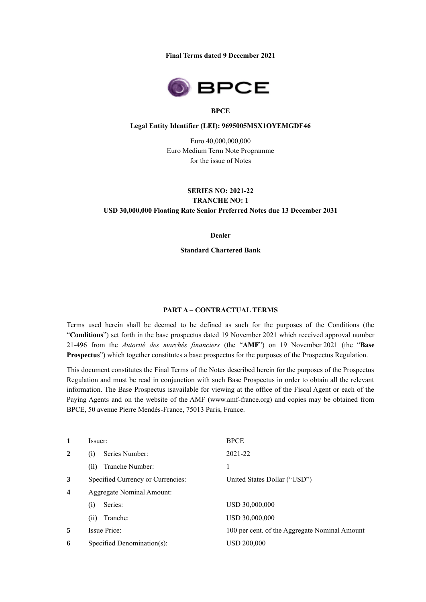**Final Terms dated 9 December 2021**



#### **BPCE**

#### **Legal Entity Identifier (LEI): 9695005MSX1OYEMGDF46**

Euro 40,000,000,000 Euro Medium Term Note Programme for the issue of Notes

#### **SERIES NO: 2021-22**

**TRANCHE NO: 1 USD 30,000,000 Floating Rate Senior Preferred Notes due 13 December 2031**

**Dealer**

**Standard Chartered Bank**

## **PART A – CONTRACTUAL TERMS**

Terms used herein shall be deemed to be defined as such for the purposes of the Conditions (the "**Conditions**") set forth in the base prospectus dated 19 November 2021 which received approval number 21-496 from the *Autorité des marchés financiers* (the "**AMF**") on 19 November 2021 (the "**Base Prospectus**") which together constitutes a base prospectus for the purposes of the Prospectus Regulation.

This document constitutes the Final Terms of the Notes described herein for the purposes of the Prospectus Regulation and must be read in conjunction with such Base Prospectus in order to obtain all the relevant information. The Base Prospectus isavailable for viewing at the office of the Fiscal Agent or each of the Paying Agents and on the website of the AMF (www.amf-france.org) and copies may be obtained from BPCE, 50 avenue Pierre Mendès-France, 75013 Paris, France.

| $\mathbf{1}$     | Issuer:                           | <b>BPCE</b>                                   |  |
|------------------|-----------------------------------|-----------------------------------------------|--|
| $\overline{2}$   | Series Number:<br>(i)             | 2021-22                                       |  |
|                  | Tranche Number:<br>(ii)           | 1                                             |  |
| 3                | Specified Currency or Currencies: | United States Dollar ("USD")                  |  |
| $\boldsymbol{4}$ | <b>Aggregate Nominal Amount:</b>  |                                               |  |
|                  | Series:<br>(i)                    | USD 30,000,000                                |  |
|                  | Tranche:<br>(ii)                  | USD 30,000,000                                |  |
| 5                | <b>Issue Price:</b>               | 100 per cent. of the Aggregate Nominal Amount |  |
| 6                | Specified Denomination(s):        | <b>USD 200,000</b>                            |  |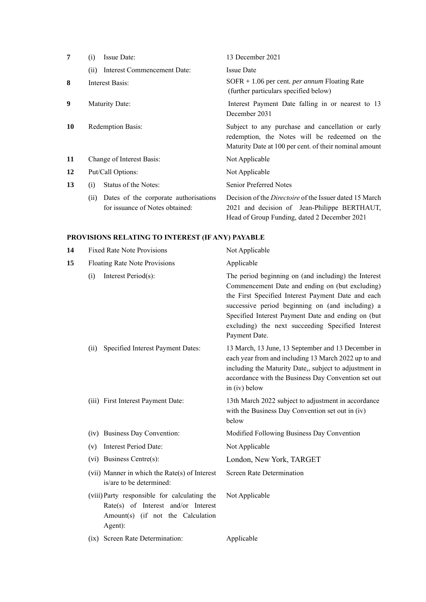| 7  | Issue Date:<br>(i)                                                               | 13 December 2021                                                                                                                                               |
|----|----------------------------------------------------------------------------------|----------------------------------------------------------------------------------------------------------------------------------------------------------------|
|    | Interest Commencement Date:<br>(ii)                                              | <b>Issue Date</b>                                                                                                                                              |
| 8  | Interest Basis:                                                                  | $SOFR + 1.06$ per cent. <i>per annum</i> Floating Rate<br>(further particulars specified below)                                                                |
| 9  | Maturity Date:                                                                   | Interest Payment Date falling in or nearest to 13<br>December 2031                                                                                             |
| 10 | <b>Redemption Basis:</b>                                                         | Subject to any purchase and cancellation or early<br>redemption, the Notes will be redeemed on the<br>Maturity Date at 100 per cent. of their nominal amount   |
| 11 | Change of Interest Basis:                                                        | Not Applicable                                                                                                                                                 |
| 12 | Put/Call Options:                                                                | Not Applicable                                                                                                                                                 |
| 13 | Status of the Notes:<br>(i)                                                      | <b>Senior Preferred Notes</b>                                                                                                                                  |
|    | Dates of the corporate authorisations<br>(ii)<br>for issuance of Notes obtained: | Decision of the <i>Directoire</i> of the Issuer dated 15 March<br>2021 and decision of Jean-Philippe BERTHAUT,<br>Head of Group Funding, dated 2 December 2021 |

# **PROVISIONS RELATING TO INTEREST (IF ANY) PAYABLE**

| 14 | <b>Fixed Rate Note Provisions</b>                                                                                                   | Not Applicable                                                                                                                                                                                                                                                                                                                                |  |
|----|-------------------------------------------------------------------------------------------------------------------------------------|-----------------------------------------------------------------------------------------------------------------------------------------------------------------------------------------------------------------------------------------------------------------------------------------------------------------------------------------------|--|
| 15 | Floating Rate Note Provisions                                                                                                       | Applicable                                                                                                                                                                                                                                                                                                                                    |  |
|    | Interest Period(s):<br>(i)                                                                                                          | The period beginning on (and including) the Interest<br>Commencement Date and ending on (but excluding)<br>the First Specified Interest Payment Date and each<br>successive period beginning on (and including) a<br>Specified Interest Payment Date and ending on (but<br>excluding) the next succeeding Specified Interest<br>Payment Date. |  |
|    | Specified Interest Payment Dates:<br>(ii)                                                                                           | 13 March, 13 June, 13 September and 13 December in<br>each year from and including 13 March 2022 up to and<br>including the Maturity Date,, subject to adjustment in<br>accordance with the Business Day Convention set out<br>in (iv) below                                                                                                  |  |
|    | (iii) First Interest Payment Date:                                                                                                  | 13th March 2022 subject to adjustment in accordance<br>with the Business Day Convention set out in (iv)<br>below                                                                                                                                                                                                                              |  |
|    | (iv) Business Day Convention:                                                                                                       | Modified Following Business Day Convention                                                                                                                                                                                                                                                                                                    |  |
|    | <b>Interest Period Date:</b><br>(v)                                                                                                 | Not Applicable                                                                                                                                                                                                                                                                                                                                |  |
|    | (vi) Business Centre(s):                                                                                                            | London, New York, TARGET                                                                                                                                                                                                                                                                                                                      |  |
|    | (vii) Manner in which the Rate(s) of Interest<br>is/are to be determined:                                                           | <b>Screen Rate Determination</b>                                                                                                                                                                                                                                                                                                              |  |
|    | (viii) Party responsible for calculating the<br>Rate(s) of Interest and/or Interest<br>Amount(s) (if not the Calculation<br>Agent): | Not Applicable                                                                                                                                                                                                                                                                                                                                |  |
|    | (ix) Screen Rate Determination:                                                                                                     | Applicable                                                                                                                                                                                                                                                                                                                                    |  |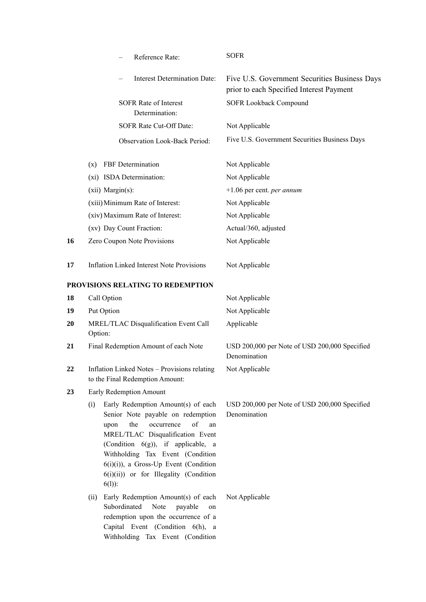|    | Reference Rate:                                                                                                                                                                                                                                                                                                                   | <b>SOFR</b>                                                                               |
|----|-----------------------------------------------------------------------------------------------------------------------------------------------------------------------------------------------------------------------------------------------------------------------------------------------------------------------------------|-------------------------------------------------------------------------------------------|
|    | <b>Interest Determination Date:</b>                                                                                                                                                                                                                                                                                               | Five U.S. Government Securities Business Days<br>prior to each Specified Interest Payment |
|    | <b>SOFR Rate of Interest</b><br>Determination:                                                                                                                                                                                                                                                                                    | SOFR Lookback Compound                                                                    |
|    | SOFR Rate Cut-Off Date:                                                                                                                                                                                                                                                                                                           | Not Applicable                                                                            |
|    | <b>Observation Look-Back Period:</b>                                                                                                                                                                                                                                                                                              | Five U.S. Government Securities Business Days                                             |
|    | FBF Determination<br>$(\mathbf{x})$                                                                                                                                                                                                                                                                                               | Not Applicable                                                                            |
|    | (xi) ISDA Determination:                                                                                                                                                                                                                                                                                                          | Not Applicable                                                                            |
|    | (xii) Margin(s):                                                                                                                                                                                                                                                                                                                  | $+1.06$ per cent. <i>per annum</i>                                                        |
|    | (xiii) Minimum Rate of Interest:                                                                                                                                                                                                                                                                                                  | Not Applicable                                                                            |
|    | (xiv) Maximum Rate of Interest:                                                                                                                                                                                                                                                                                                   | Not Applicable                                                                            |
|    | (xv) Day Count Fraction:                                                                                                                                                                                                                                                                                                          | Actual/360, adjusted                                                                      |
| 16 | Zero Coupon Note Provisions                                                                                                                                                                                                                                                                                                       | Not Applicable                                                                            |
| 17 | <b>Inflation Linked Interest Note Provisions</b>                                                                                                                                                                                                                                                                                  | Not Applicable                                                                            |
|    | PROVISIONS RELATING TO REDEMPTION                                                                                                                                                                                                                                                                                                 |                                                                                           |
| 18 | Call Option                                                                                                                                                                                                                                                                                                                       | Not Applicable                                                                            |
| 19 | Put Option                                                                                                                                                                                                                                                                                                                        | Not Applicable                                                                            |
| 20 | MREL/TLAC Disqualification Event Call<br>Option:                                                                                                                                                                                                                                                                                  | Applicable                                                                                |
| 21 | Final Redemption Amount of each Note                                                                                                                                                                                                                                                                                              | USD 200,000 per Note of USD 200,000 Specified<br>Denomination                             |
| 22 | Inflation Linked Notes - Provisions relating<br>to the Final Redemption Amount:                                                                                                                                                                                                                                                   | Not Applicable                                                                            |
| 23 | Early Redemption Amount                                                                                                                                                                                                                                                                                                           |                                                                                           |
|    | Early Redemption Amount(s) of each<br>(i)<br>Senior Note payable on redemption<br>of<br>the<br>occurrence<br>upon<br>MREL/TLAC Disqualification Event<br>(Condition 6(g)), if applicable, a<br>Withholding Tax Event (Condition<br>$6(i)(i)$ ), a Gross-Up Event (Condition<br>6(i)(ii)) or for Illegality (Condition<br>$6(1)$ : | USD 200,000 per Note of USD 200,000 Specified<br>Denomination<br>an                       |
|    | Early Redemption Amount(s) of each<br>(ii)<br>Subordinated Note<br>payable<br>on<br>redemption upon the occurrence of a<br>Capital Event (Condition 6(h), a<br>Withholding Tax Event (Condition                                                                                                                                   | Not Applicable                                                                            |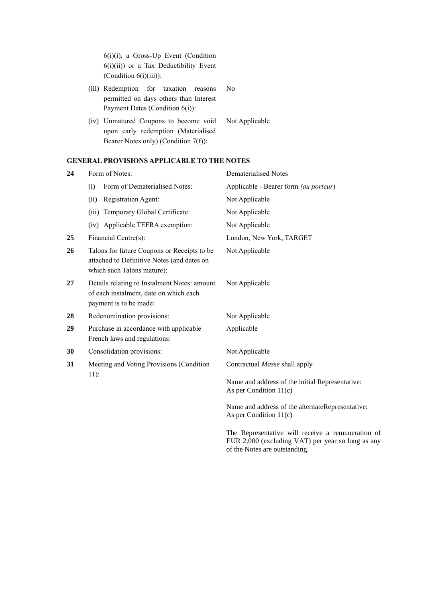6(i)(i), a Gross-Up Event (Condition 6(i)(ii)) or a Tax Deductibility Event (Condition  $6(i)(iii)$ ):

- (iii) Redemption for taxation reasons permitted on days others than Interest Payment Dates (Condition 6(i)): No
- (iv) Unmatured Coupons to become void upon early redemption (Materialised Bearer Notes only) (Condition 7(f)): Not Applicable

# **GENERAL PROVISIONS APPLICABLE TO THE NOTES**

| 24 | Form of Notes:                                                                                                          | <b>Dematerialised Notes</b>                                                  |
|----|-------------------------------------------------------------------------------------------------------------------------|------------------------------------------------------------------------------|
|    | Form of Dematerialised Notes:<br>(i)                                                                                    | Applicable - Bearer form (au porteur)                                        |
|    | Registration Agent:<br>(ii)                                                                                             | Not Applicable                                                               |
|    | (iii) Temporary Global Certificate:                                                                                     | Not Applicable                                                               |
|    | (iv) Applicable TEFRA exemption:                                                                                        | Not Applicable                                                               |
| 25 | Financial Centre(s):                                                                                                    | London, New York, TARGET                                                     |
| 26 | Talons for future Coupons or Receipts to be<br>attached to Definitive Notes (and dates on<br>which such Talons mature): | Not Applicable                                                               |
| 27 | Details relating to Instalment Notes: amount<br>of each instalment, date on which each<br>payment is to be made:        | Not Applicable                                                               |
| 28 | Redenomination provisions:                                                                                              | Not Applicable                                                               |
| 29 | Purchase in accordance with applicable<br>French laws and regulations:                                                  | Applicable                                                                   |
| 30 | Consolidation provisions:                                                                                               | Not Applicable                                                               |
| 31 | Meeting and Voting Provisions (Condition<br>$11$ :                                                                      | Contractual Masse shall apply                                                |
|    |                                                                                                                         | Name and address of the initial Representative:<br>As per Condition $11(c)$  |
|    |                                                                                                                         | Name and address of the alternateRepresentative:<br>As per Condition $11(c)$ |
|    |                                                                                                                         |                                                                              |

The Representative will receive a remuneration of EUR 2,000 (excluding VAT) per year so long as any of the Notes are outstanding.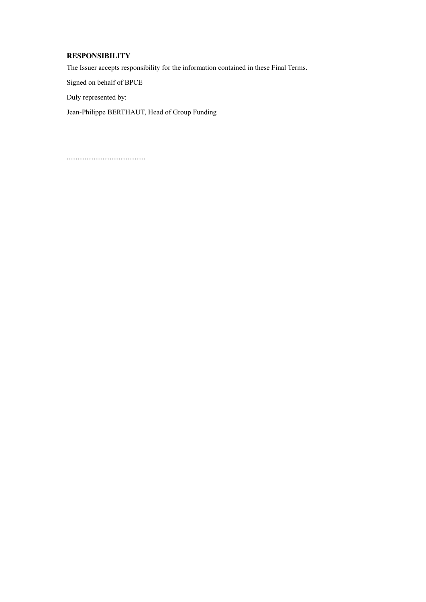# **RESPONSIBILITY**

The Issuer accepts responsibility for the information contained in these Final Terms.

Signed on behalf of BPCE

Duly represented by:

Jean-Philippe BERTHAUT, Head of Group Funding

............................................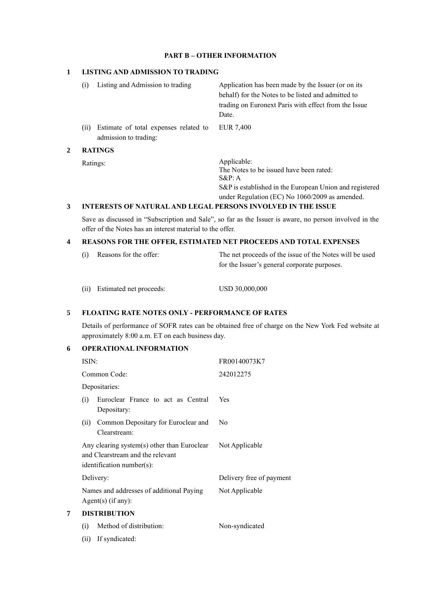#### **PART B – OTHER INFORMATION**

#### **1 LISTING AND ADMISSION TO TRADING**

(i) Listing and Admission to trading Application has been made by the Issuer (or on its behalf) for the Notes to be listed and admitted to trading on Euronext Paris with effect from the Issue Date. (ii) Estimate of total expenses related to admission to trading: EUR 7,400 **2 RATINGS**

Ratings: Applicable: The Notes to be issued have been rated: S&P: A S&P is established in the European Union and registered under Regulation (EC) No 1060/2009 as amended.

# **3 INTERESTS OF NATURAL AND LEGAL PERSONS INVOLVED IN THE ISSUE**

Save as discussed in "Subscription and Sale", so far as the Issuer is aware, no person involved in the offer of the Notes has an interest material to the offer.

## **4 REASONS FOR THE OFFER, ESTIMATED NET PROCEEDS AND TOTAL EXPENSES**

| (i) Reasons for the offer: | The net proceeds of the issue of the Notes will be used |
|----------------------------|---------------------------------------------------------|
|                            | for the Issuer's general corporate purposes.            |

(ii) Estimated net proceeds: USD 30,000,000

## **5 FLOATING RATE NOTES ONLY - PERFORMANCE OF RATES**

Details of performance of SOFR rates can be obtained free of charge on the New York Fed website at approximately 8:00 a.m. ET on each business day.

# **6 OPERATIONAL INFORMATION**

|   | ISIN: |                                                                                                                 | FR00140073K7             |  |
|---|-------|-----------------------------------------------------------------------------------------------------------------|--------------------------|--|
|   |       | Common Code:                                                                                                    | 242012275                |  |
|   |       | Depositaries:                                                                                                   |                          |  |
|   | (i)   | Euroclear France to act as Central<br>Depositary:                                                               | Yes                      |  |
|   | (ii)  | Common Depositary for Euroclear and<br>Clearstream:                                                             | No                       |  |
|   |       | Any clearing system(s) other than Euroclear<br>and Clearstream and the relevant<br>$identification number(s)$ : | Not Applicable           |  |
|   |       | Delivery:                                                                                                       | Delivery free of payment |  |
|   |       | Names and addresses of additional Paying<br>$Agent(s)$ (if any):                                                | Not Applicable           |  |
| 7 |       | <b>DISTRIBUTION</b>                                                                                             |                          |  |
|   | (i)   | Method of distribution:                                                                                         | Non-syndicated           |  |
|   |       |                                                                                                                 |                          |  |

(ii) If syndicated: